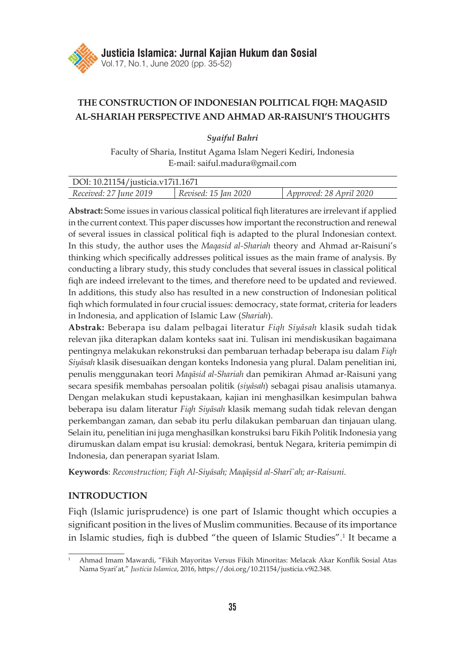

# **THE CONSTRUCTION OF INDONESIAN POLITICAL FIQH: MAQASID AL-SHARIAH PERSPECTIVE AND AHMAD AR-RAISUNI'S THOUGHTS**

*Syaiful Bahri*

Faculty of Sharia, Institut Agama Islam Negeri Kediri, Indonesia E-mail: saiful.madura@gmail.com

| DOI: 10.21154/justicia.v17i1.1671 |                      |                         |
|-----------------------------------|----------------------|-------------------------|
| Received: 27 June 2019            | Revised: 15 Jan 2020 | Approved: 28 April 2020 |

**Abstract:** Some issues in various classical political fiqh literatures are irrelevant if applied in the current context. This paper discusses how important the reconstruction and renewal of several issues in classical political fiqh is adapted to the plural Indonesian context. In this study, the author uses the *Maqasid al-Shariah* theory and Ahmad ar-Raisuni's thinking which specifically addresses political issues as the main frame of analysis. By conducting a library study, this study concludes that several issues in classical political fiqh are indeed irrelevant to the times, and therefore need to be updated and reviewed. In additions, this study also has resulted in a new construction of Indonesian political fiqh which formulated in four crucial issues: democracy, state format, criteria for leaders in Indonesia, and application of Islamic Law (*Shariah*).

**Abstrak:** Beberapa isu dalam pelbagai literatur *Fiqh Siyāsah* klasik sudah tidak relevan jika diterapkan dalam konteks saat ini. Tulisan ini mendiskusikan bagaimana pentingnya melakukan rekonstruksi dan pembaruan terhadap beberapa isu dalam *Fiqh Siyāsah* klasik disesuaikan dengan konteks Indonesia yang plural. Dalam penelitian ini, penulis menggunakan teori *Maqāsid al-Shariah* dan pemikiran Ahmad ar-Raisuni yang secara spesifik membahas persoalan politik (*siyāsah*) sebagai pisau analisis utamanya. Dengan melakukan studi kepustakaan, kajian ini menghasilkan kesimpulan bahwa beberapa isu dalam literatur *Fiqh Siyāsah* klasik memang sudah tidak relevan dengan perkembangan zaman, dan sebab itu perlu dilakukan pembaruan dan tinjauan ulang. Selain itu, penelitian ini juga menghasilkan konstruksi baru Fikih Politik Indonesia yang dirumuskan dalam empat isu krusial: demokrasi, bentuk Negara, kriteria pemimpin di Indonesia, dan penerapan syariat Islam.

**Keywords**: *Reconstruction; Fiqh Al-Siyāsah; Maqāşsid al-Sharī`ah; ar-Raisuni.*

# **INTRODUCTION**

Fiqh (Islamic jurisprudence) is one part of Islamic thought which occupies a significant position in the lives of Muslim communities. Because of its importance in Islamic studies, fiqh is dubbed "the queen of Islamic Studies".<sup>1</sup> It became a

<sup>1</sup> Ahmad Imam Mawardi, "Fikih Mayoritas Versus Fikih Minoritas: Melacak Akar Konflik Sosial Atas Nama Syari'at," *Justicia Islamica*, 2016, https://doi.org/10.21154/justicia.v9i2.348.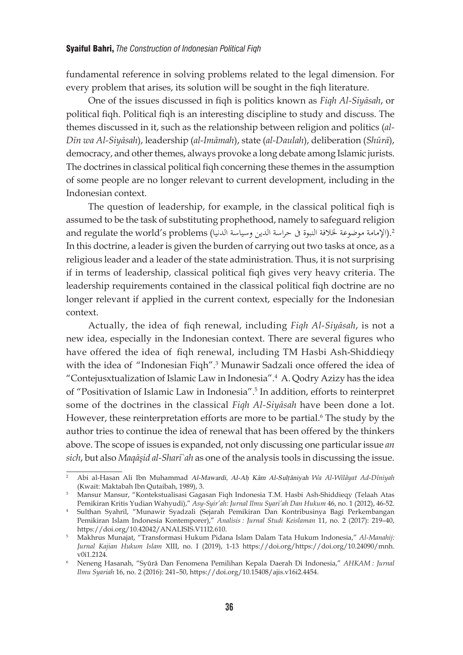fundamental reference in solving problems related to the legal dimension. For every problem that arises, its solution will be sought in the fiqh literature.

One of the issues discussed in fiqh is politics known as *Fiqh Al-Siyāsah*, or political fiqh. Political fiqh is an interesting discipline to study and discuss. The themes discussed in it, such as the relationship between religion and politics (*al-Dīn wa Al-Siyāsah*), leadership (*al-Imāmah*), state (*al-Daulah*), deliberation (*Shūrā*), democracy, and other themes, always provoke a long debate among Islamic jurists. The doctrines in classical political fiqh concerning these themes in the assumption of some people are no longer relevant to current development, including in the Indonesian context.

The question of leadership, for example, in the classical political fiqh is assumed to be the task of substituting prophethood, namely to safeguard religion .(الإمامة موضوعة لخلافة النبوة في حراسة الدين وسياسة الدنيا) and regulate the world's problems In this doctrine, a leader is given the burden of carrying out two tasks at once, as a religious leader and a leader of the state administration. Thus, it is not surprising if in terms of leadership, classical political fiqh gives very heavy criteria. The leadership requirements contained in the classical political fiqh doctrine are no longer relevant if applied in the current context, especially for the Indonesian context.

Actually, the idea of fiqh renewal, including *Fiqh Al-Siyāsah*, is not a new idea, especially in the Indonesian context. There are several figures who have offered the idea of fiqh renewal, including TM Hasbi Ash-Shiddieqy with the idea of "Indonesian Fiqh".<sup>3</sup> Munawir Sadzali once offered the idea of "Contejusxtualization of Islamic Law in Indonesia".<sup>4</sup> A. Qodry Azizy has the idea of "Positivation of Islamic Law in Indonesia".<sup>5</sup> In addition, efforts to reinterpret some of the doctrines in the classical *Fiqh Al-Siyāsah* have been done a lot. However, these reinterpretation efforts are more to be partial.<sup>6</sup> The study by the author tries to continue the idea of renewal that has been offered by the thinkers above. The scope of issues is expanded, not only discussing one particular issue *an sich*, but also *Maqāşid al-Sharī`ah* as one of the analysis tools in discussing the issue.

<sup>2</sup> Abi al-Hasan Ali Ibn Muhammad Al-Mawardi, Al-Ah} Kâm Al-Sult}âniyah *Wa Al-Wilâyat Ad-Dîniyah* (Kwait: Maktabah Ibn Qutaibah, 1989), 3.

<sup>3</sup> Mansur Mansur, "Kontekstualisasi Gagasan Fiqh Indonesia T.M. Hasbi Ash-Shiddieqy (Telaah Atas Pemikiran Kritis Yudian Wahyudi)," *Asy-Syir'ah: Jurnal Ilmu Syari'ah Dan Hukum* 46, no. 1 (2012), 46-52.

<sup>4</sup> Sulthan Syahril, "Munawir Syadzali (Sejarah Pemikiran Dan Kontribusinya Bagi Perkembangan Pemikiran Islam Indonesia Kontemporer)," *Analisis : Jurnal Studi Keislaman* 11, no. 2 (2017): 219–40, https://doi.org/10.42042/ANALISIS.V11I2.610.

<sup>5</sup> Makhrus Munajat, "Transformasi Hukum Pidana Islam Dalam Tata Hukum Indonesia," *Al-Manahij: Jurnal Kajian Hukum Islam* XIII, no. I (2019), 1-13 https://doi.org/https://doi.org/10.24090/mnh. v0i1.2124.

<sup>6</sup> Neneng Hasanah, "Syûrâ Dan Fenomena Pemilihan Kepala Daerah Di Indonesia," *AHKAM : Jurnal Ilmu Syariah* 16, no. 2 (2016): 241–50, https://doi.org/10.15408/ajis.v16i2.4454.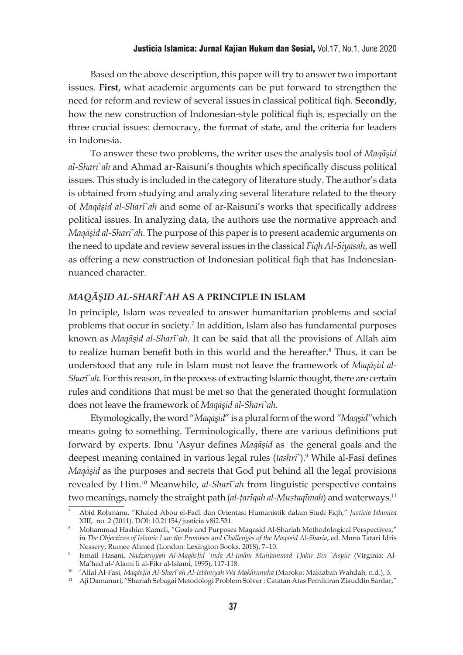### Justicia Islamica: Jurnal Kajian Hukum dan Sosial, Vol.17, No.1, June 2020

Based on the above description, this paper will try to answer two important issues. **First**, what academic arguments can be put forward to strengthen the need for reform and review of several issues in classical political fiqh. **Secondly**, how the new construction of Indonesian-style political fiqh is, especially on the three crucial issues: democracy, the format of state, and the criteria for leaders in Indonesia.

To answer these two problems, the writer uses the analysis tool of *Maqāşid al-Sharī`ah* and Ahmad ar-Raisuni's thoughts which specifically discuss political issues. This study is included in the category of literature study. The author's data is obtained from studying and analyzing several literature related to the theory of *Maqāşid al-Sharī`ah* and some of ar-Raisuni's works that specifically address political issues. In analyzing data, the authors use the normative approach and *Maqāşid al-Sharī`ah*. The purpose of this paper is to present academic arguments on the need to update and review several issues in the classical *Fiqh Al-Siyāsah*, as well as offering a new construction of Indonesian political fiqh that has Indonesiannuanced character.

# *MAQĀŞID AL-SHARĪ`AH* **AS A PRINCIPLE IN ISLAM**

In principle, Islam was revealed to answer humanitarian problems and social problems that occur in society.7 In addition, Islam also has fundamental purposes known as *Maqāşid al-Sharī`ah*. It can be said that all the provisions of Allah aim to realize human benefit both in this world and the hereafter.<sup>8</sup> Thus, it can be understood that any rule in Islam must not leave the framework of *Maqāşid al-Sharī`ah*. For this reason, in the process of extracting Islamic thought, there are certain rules and conditions that must be met so that the generated thought formulation does not leave the framework of *Maqāşid al-Sharī`ah*.

Etymologically, the word "*Maqāşid*" is a plural form of the word *"Maqşid"*which means going to something. Terminologically, there are various definitions put forward by experts. Ibnu 'Asyur defines *Maqāşid* as the general goals and the deepest meaning contained in various legal rules (*tashrī`*).9 While al-Fasi defines *Maqāşid* as the purposes and secrets that God put behind all the legal provisions revealed by Him.<sup>10</sup> Meanwhile, *al-Sharī`ah* from linguistic perspective contains two meanings, namely the straight path (*al-tarīqah al-Mustaqīmah*) and waterways.<sup>11</sup>

<sup>7</sup> Abid Rohmanu, "Khaled Abou el-Fadl dan Orientasi Humanistik dalam Studi Fiqh," *Justicia Islamica* XIII, no. 2 (2011). DOI: 10.21154/justicia.v8i2.531.

<sup>8</sup> Mohammad Hashim Kamali, "Goals and Purposes Maqasid Al-Shariah Methodological Perspectives," in *The Objectives of Islamic Law the Promises and Challenges of the Maqasid Al-Sharia*, ed. Muna Tatari Idris Nessery, Rumee Ahmed (London: Lexington Books, 2018), 7–10.

<sup>9</sup> Ismail Hasani, *Nadzariyyah Al-Maqâs}id `inda Al-Imâm Muh}ammad T}ahir Bin `Asyûr* (Virginia: Al-Ma'had al-'Alami li al-Fikr al-Islami, 1995), 117-118.

<sup>10</sup> 'Allal Al-Fasi, *Maqâs}id Al-Sharî`ah Al-Islâmiyah Wa Makârimuha* (Maroko: Maktabah Wahdah, n.d.), 3.

<sup>11</sup> Aji Damanuri, "Shariah Sebagai Metodologi Problem Solver : Catatan Atas Pemikiran Ziauddin Sardar,"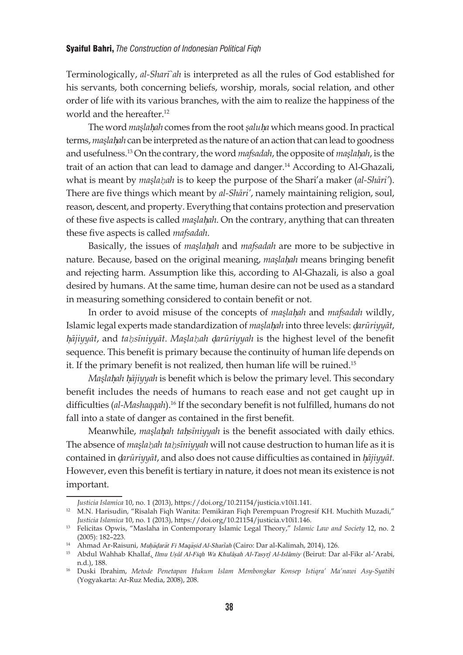Terminologically, *al-Sharī`ah* is interpreted as all the rules of God established for his servants, both concerning beliefs, worship, morals, social relation, and other order of life with its various branches, with the aim to realize the happiness of the world and the hereafter.<sup>12</sup>

The word *maşla*h*ah*} comes from the root *şalu*h*a* } which means good. In practical terms, *maşla*h*ah*} can be interpreted as the nature of an action that can lead to goodness and usefulness.13 On the contrary, the word *mafsadah*, the opposite of *maşla*h*ah*} , is the trait of an action that can lead to damage and danger.<sup>14</sup> According to Al-Ghazali, what is meant by *maşlaḥah* is to keep the purpose of the Shari'a maker (*al-Shāri'*). There are five things which meant by *al-Shāri'*, namely maintaining religion, soul, reason, descent, and property. Everything that contains protection and preservation of these five aspects is called *maşla*h*ah*} . On the contrary, anything that can threaten these five aspects is called *mafsadah*.

Basically, the issues of *maşla*h*ah* } and *mafsadah* are more to be subjective in nature. Because, based on the original meaning, *maslahah* means bringing benefit and rejecting harm. Assumption like this, according to Al-Ghazali, is also a goal desired by humans. At the same time, human desire can not be used as a standard in measuring something considered to contain benefit or not.

In order to avoid misuse of the concepts of *maslahah* and *mafsadah* wildly, Islamic legal experts made standardization of *maşlahah* into three levels: *darūriyyāt*, <sup>h</sup>}*ājiyyāt*, and *taḥsīniyyāt*. *Maşlaḥah* d}*arūriyyah* is the highest level of the benefit sequence. This benefit is primary because the continuity of human life depends on it. If the primary benefit is not realized, then human life will be ruined.<sup>15</sup>

*Maşlahah hājiyyah* is benefit which is below the primary level. This secondary benefit includes the needs of humans to reach ease and not get caught up in difficulties (*al-Mashaqqah*).16 If the secondary benefit is not fulfilled, humans do not fall into a state of danger as contained in the first benefit.

Meanwhile, *maşlahah tahsīniyyah* is the benefit associated with daily ethics. The absence of *maşlaḥah taḥsīniyyah* will not cause destruction to human life as it is contained in d*arūriyyāt* } , and also does not cause difficulties as contained in h*ājiyyāt* } . However, even this benefit is tertiary in nature, it does not mean its existence is not important.

*Justicia Islamica* 10, no. 1 (2013), https://doi.org/10.21154/justicia.v10i1.141.

<sup>&</sup>lt;sup>12</sup> M.N. Harisudin, "Risalah Fiqh Wanita: Pemikiran Fiqh Perempuan Progresif KH. Muchith Muzadi," *Justicia Islamica* 10, no. 1 (2013), https://doi.org/10.21154/justicia.v10i1.146.

<sup>13</sup> Felicitas Opwis, "Maslaha in Contemporary Islamic Legal Theory," *Islamic Law and Society* 12, no. 2 (2005): 182–223.

<sup>&</sup>lt;sup>14</sup> Ahmad Ar-Raisuni, Muḥāḍarāt Fi Maqāṣid Al-Sharīah (Cairo: Dar al-Kalimah, 2014), 126.

<sup>&</sup>lt;sup>15</sup> Abdul Wahhab Khallaf, *Ilmu Usûl Al-Fiqh Wa Khulâsah Al-Tasyrî Al-Islâmiy* (Beirut: Dar al-Fikr al-'Arabi, n.d.), 188.

<sup>16</sup> Duski Ibrahim, *Metode Penetapan Hukum Islam Membongkar Konsep Istiqra' Ma'nawi Asy-Syatibi* (Yogyakarta: Ar-Ruz Media, 2008), 208.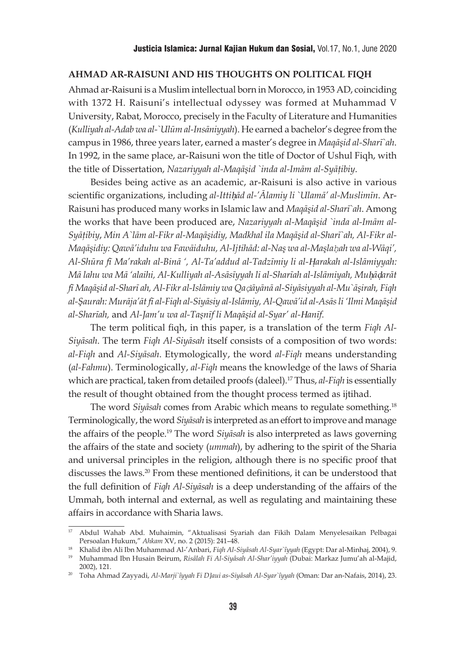## **AHMAD AR-RAISUNI AND HIS THOUGHTS ON POLITICAL FIQH**

Ahmad ar-Raisuni is a Muslim intellectual born in Morocco, in 1953 AD, coinciding with 1372 H. Raisuni's intellectual odyssey was formed at Muhammad V University, Rabat, Morocco, precisely in the Faculty of Literature and Humanities (*Kulliyah al-Adab wa al-`Ulūm al-Insāniyyah*). He earned a bachelor's degree from the campus in 1986, three years later, earned a master's degree in *Maqāşid al-Sharī`ah*. In 1992, in the same place, ar-Raisuni won the title of Doctor of Ushul Fiqh, with the title of Dissertation, *Nazariyyah al-Maqāşid `inda al-Imām al-Syāţibiy*.

Besides being active as an academic, ar-Raisuni is also active in various scientific organizations, including al-Ittihad al-'Ālamiy li `Ulama' al-Muslimīn. Ar-Raisuni has produced many works in Islamic law and *Maqāşid al-Sharī`ah*. Among the works that have been produced are, *Nazariyyah al-Maqāşid `inda al-Imām al-Syāţibiy*, *Min A`lām al-Fikr al-Maqāşidiy, Madkhal ila Maqāşid al-Sharī`ah, Al-Fikr al-Maqāşidiy: Qawā'iduhu wa Fawāiduhu, Al-Ijtihād: al-Naş wa al-Maşlaḥah wa al-Wāqi', Al-Shūra fī Ma'rakah al-Binā ', Al-Ta'addud al-Tadzīmiy li al-*H}*arakah al-Islāmiyyah: Mā lahu wa Mā 'alaihi, Al-Kulliyah al-Asāsīyyah li al-Sharīah al-Islāmiyah, Mu*h}*ā*d}*arāt fī Maqāşid al-Sharī ah, Al-Fikr al-Islāmiy wa Qaḍāyānā al-Siyāsiyyah al-Mu`āşirah, Fiqh al-Şaurah: Murāja'āt fī al-Fiqh al-Siyāsiy al-Islāmiy, Al-Qawā'id al-Asās li 'Ilmi Maqāşid al-Sharīah,* and *Al-Jam'u wa al-Taşnīf li Maqāşid al-Syar' al-*H*anīf.*

The term political fiqh, in this paper, is a translation of the term *Fiqh Al-Siyāsah*. The term *Fiqh Al-Siyāsah* itself consists of a composition of two words: *al-Fiqh* and *Al-Siyāsah*. Etymologically, the word *al-Fiqh* means understanding (*al-Fahmu*). Terminologically, *al-Fiqh* means the knowledge of the laws of Sharia which are practical, taken from detailed proofs (daleel).17 Thus, *al-Fiqh* is essentially the result of thought obtained from the thought process termed as ijtihad.

The word *Siyāsah* comes from Arabic which means to regulate something.18 Terminologically, the word *Siyāsah* is interpreted as an effort to improve and manage the affairs of the people.19 The word *Siyāsah* is also interpreted as laws governing the affairs of the state and society (*ummah*), by adhering to the spirit of the Sharia and universal principles in the religion, although there is no specific proof that discusses the laws.20 From these mentioned definitions, it can be understood that the full definition of *Fiqh Al-Siyāsah* is a deep understanding of the affairs of the Ummah, both internal and external, as well as regulating and maintaining these affairs in accordance with Sharia laws.

<sup>17</sup> Abdul Wahab Abd. Muhaimin, "Aktualisasi Syariah dan Fikih Dalam Menyelesaikan Pelbagai Persoalan Hukum," *Ahkam* XV, no. 2 (2015): 241–48.

<sup>18</sup> Khalid ibn Ali Ibn Muhammad Al-'Anbari, *Fiqh Al-Siyâsah Al-Syar`îyyah* (Egypt: Dar al-Minhaj, 2004), 9.

<sup>19</sup> Muhammad Ibn Husain Beirum, *Risâlah Fi Al-Siyâsah Al-Shar'iyyah* (Dubai: Markaz Jumu'ah al-Majid, 2002), 121.

<sup>20</sup> Toha Ahmad Zayyadi, *Al-Marji`îyyah Fi D}aui as-Siyâsah Al-Syar`îyyah* (Oman: Dar an-Nafais, 2014), 23.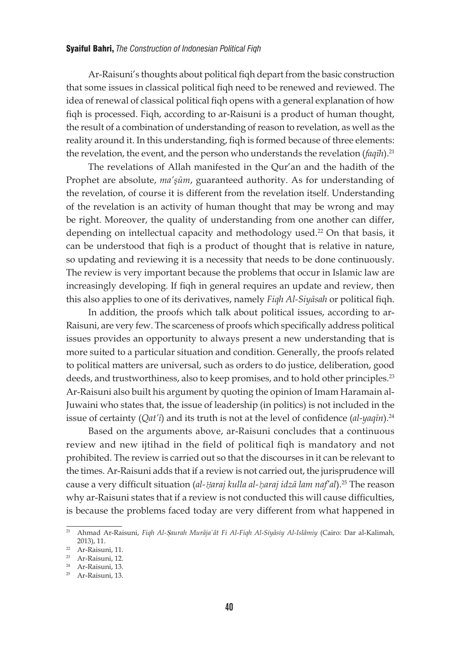Ar-Raisuni's thoughts about political fiqh depart from the basic construction that some issues in classical political fiqh need to be renewed and reviewed. The idea of renewal of classical political fiqh opens with a general explanation of how fiqh is processed. Fiqh, according to ar-Raisuni is a product of human thought, the result of a combination of understanding of reason to revelation, as well as the reality around it. In this understanding, fiqh is formed because of three elements: the revelation, the event, and the person who understands the revelation (*faqīh*).<sup>21</sup>

The revelations of Allah manifested in the Qur'an and the hadith of the Prophet are absolute, *ma'şūm*, guaranteed authority. As for understanding of the revelation, of course it is different from the revelation itself. Understanding of the revelation is an activity of human thought that may be wrong and may be right. Moreover, the quality of understanding from one another can differ, depending on intellectual capacity and methodology used.<sup>22</sup> On that basis, it can be understood that fiqh is a product of thought that is relative in nature, so updating and reviewing it is a necessity that needs to be done continuously. The review is very important because the problems that occur in Islamic law are increasingly developing. If fiqh in general requires an update and review, then this also applies to one of its derivatives, namely *Fiqh Al-Siyāsah* or political fiqh.

In addition, the proofs which talk about political issues, according to ar-Raisuni, are very few. The scarceness of proofs which specifically address political issues provides an opportunity to always present a new understanding that is more suited to a particular situation and condition. Generally, the proofs related to political matters are universal, such as orders to do justice, deliberation, good deeds, and trustworthiness, also to keep promises, and to hold other principles.<sup>23</sup> Ar-Raisuni also built his argument by quoting the opinion of Imam Haramain al-Juwaini who states that, the issue of leadership (in politics) is not included in the issue of certainty (*Qat'i*) and its truth is not at the level of confidence (*al-yaqīn*).<sup>24</sup>

Based on the arguments above, ar-Raisuni concludes that a continuous review and new ijtihad in the field of political fiqh is mandatory and not prohibited. The review is carried out so that the discourses in it can be relevant to the times. Ar-Raisuni adds that if a review is not carried out, the jurisprudence will cause a very difficult situation (*al-Ḥaraj kulla al-ḥaraj idzā lam naf'al*).25 The reason why ar-Raisuni states that if a review is not conducted this will cause difficulties, is because the problems faced today are very different from what happened in

<sup>&</sup>lt;sup>21</sup> Ahmad Ar-Raisuni, *Figh Al-Saurah Murâja* ît Fi Al-Figh Al-Siyâsiy Al-Islâmiy (Cairo: Dar al-Kalimah, 2013), 11.

<sup>22</sup> Ar-Raisuni, 11.

<sup>23</sup> Ar-Raisuni, 12.

<sup>24</sup> Ar-Raisuni, 13.

<sup>25</sup> Ar-Raisuni, 13.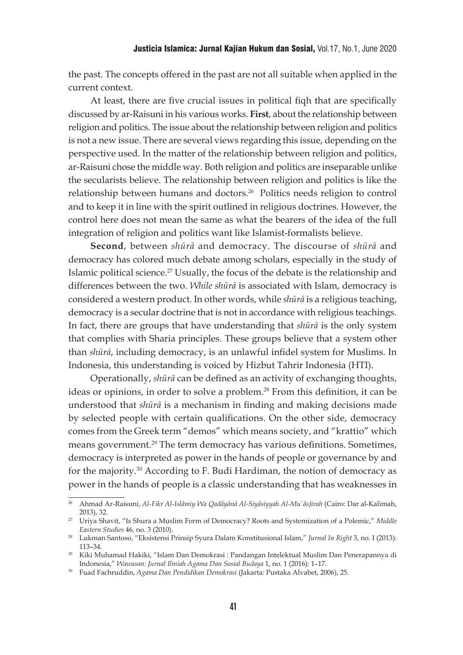the past. The concepts offered in the past are not all suitable when applied in the current context.

At least, there are five crucial issues in political fiqh that are specifically discussed by ar-Raisuni in his various works. **First**, about the relationship between religion and politics. The issue about the relationship between religion and politics is not a new issue. There are several views regarding this issue, depending on the perspective used. In the matter of the relationship between religion and politics, ar-Raisuni chose the middle way. Both religion and politics are inseparable unlike the secularists believe. The relationship between religion and politics is like the relationship between humans and doctors.26 Politics needs religion to control and to keep it in line with the spirit outlined in religious doctrines. However, the control here does not mean the same as what the bearers of the idea of the full integration of religion and politics want like Islamist-formalists believe.

**Second**, between *shūrā* and democracy. The discourse of *shūrā* and democracy has colored much debate among scholars, especially in the study of Islamic political science.<sup>27</sup> Usually, the focus of the debate is the relationship and differences between the two. *While shūrā* is associated with Islam, democracy is considered a western product. In other words, while *shūrā* is a religious teaching, democracy is a secular doctrine that is not in accordance with religious teachings. In fact, there are groups that have understanding that *shūrā* is the only system that complies with Sharia principles. These groups believe that a system other than *shūrā*, including democracy, is an unlawful infidel system for Muslims. In Indonesia, this understanding is voiced by Hizbut Tahrir Indonesia (HTI).

Operationally, *shūrā* can be defined as an activity of exchanging thoughts, ideas or opinions, in order to solve a problem.<sup>28</sup> From this definition, it can be understood that *shūrā* is a mechanism in finding and making decisions made by selected people with certain qualifications. On the other side, democracy comes from the Greek term "demos" which means society, and "krattio" which means government.<sup>29</sup> The term democracy has various definitions. Sometimes, democracy is interpreted as power in the hands of people or governance by and for the majority.30 According to F. Budi Hardiman, the notion of democracy as power in the hands of people is a classic understanding that has weaknesses in

<sup>26</sup> Ahmad Ar-Raisuni, *Al-Fikr Al-Islâmiy Wa Qadâyânâ Al-Siyâsiyyah Al-Mu`âs}irah* (Cairo: Dar al-Kalimah, 2013), 32.

<sup>27</sup> Uriya Shavit, "Is Shura a Muslim Form of Democracy? Roots and Systemization of a Polemic," *Middle Eastern Studies* 46, no. 3 (2010).

<sup>28</sup> Lukman Santoso, "Eksistensi Prinsip Syura Dalam Konstitusional Islam," *Jurnal In Right* 3, no. I (2013): 113–34.

<sup>29</sup> Kiki Muhamad Hakiki, "Islam Dan Demokrasi : Pandangan Intelektual Muslim Dan Penerapannya di Indonesia," *Wawasan: Jurnal Ilmiah Agama Dan Sosial Budaya* 1, no. 1 (2016): 1–17.

<sup>30</sup> Fuad Fachruddin, *Agama Dan Pendidikan Demokrasi* (Jakarta: Pustaka Alvabet, 2006), 25.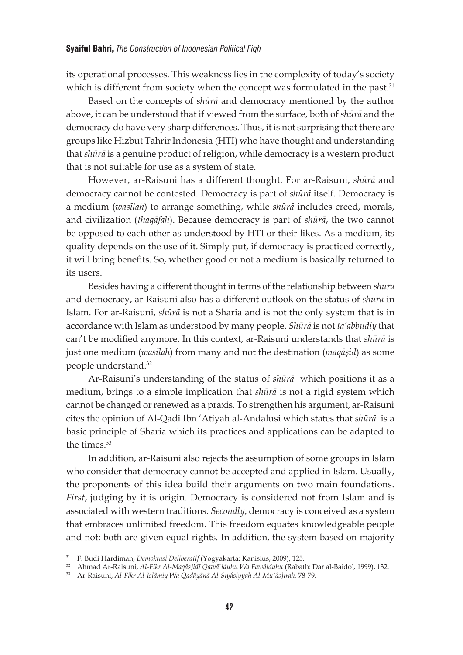its operational processes. This weakness lies in the complexity of today's society which is different from society when the concept was formulated in the past.<sup>31</sup>

Based on the concepts of *shūrā* and democracy mentioned by the author above, it can be understood that if viewed from the surface, both of *shūrā* and the democracy do have very sharp differences. Thus, it is not surprising that there are groups like Hizbut Tahrir Indonesia (HTI) who have thought and understanding that *shūrā* is a genuine product of religion, while democracy is a western product that is not suitable for use as a system of state.

However, ar-Raisuni has a different thought. For ar-Raisuni, *shūrā* and democracy cannot be contested. Democracy is part of *shūrā* itself. Democracy is a medium (*wasīlah*) to arrange something, while *shūrā* includes creed, morals, and civilization (*thaqāfah*). Because democracy is part of *shūrā*, the two cannot be opposed to each other as understood by HTI or their likes. As a medium, its quality depends on the use of it. Simply put, if democracy is practiced correctly, it will bring benefits. So, whether good or not a medium is basically returned to its users.

Besides having a different thought in terms of the relationship between *shūrā* and democracy, ar-Raisuni also has a different outlook on the status of *shūrā* in Islam. For ar-Raisuni, *shūrā* is not a Sharia and is not the only system that is in accordance with Islam as understood by many people. *Shūrā* is not *ta'abbudiy* that can't be modified anymore. In this context, ar-Raisuni understands that *shūrā* is just one medium (*wasīlah*) from many and not the destination (*maqāşid*) as some people understand.32

Ar-Raisuni's understanding of the status of *shūrā* which positions it as a medium, brings to a simple implication that *shūrā* is not a rigid system which cannot be changed or renewed as a praxis. To strengthen his argument, ar-Raisuni cites the opinion of Al-Qadi Ibn 'Atiyah al-Andalusi which states that *shūrā* is a basic principle of Sharia which its practices and applications can be adapted to the times.<sup>33</sup>

In addition, ar-Raisuni also rejects the assumption of some groups in Islam who consider that democracy cannot be accepted and applied in Islam. Usually, the proponents of this idea build their arguments on two main foundations. *First*, judging by it is origin. Democracy is considered not from Islam and is associated with western traditions. *Secondly*, democracy is conceived as a system that embraces unlimited freedom. This freedom equates knowledgeable people and not; both are given equal rights. In addition, the system based on majority

<sup>31</sup> F. Budi Hardiman, *Demokrasi Deliberatif* (Yogyakarta: Kanisius, 2009), 125.

<sup>32</sup> Ahmad Ar-Raisuni, *Al-Fikr Al-Maqâs}idî Qawâ`iduhu Wa Fawâiduhu* (Rabath: Dar al-Baido', 1999), 132.

<sup>33</sup> Ar-Raisuni, *Al-Fikr Al-Islâmiy Wa Qadâyânâ Al-Siyâsiyyah Al-Mu`âs}irah,* 78-79.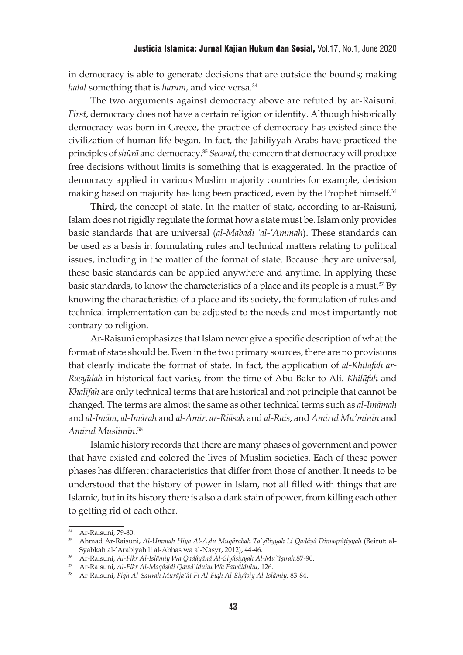in democracy is able to generate decisions that are outside the bounds; making *halal* something that is *haram*, and vice versa.<sup>34</sup>

The two arguments against democracy above are refuted by ar-Raisuni. *First*, democracy does not have a certain religion or identity. Although historically democracy was born in Greece, the practice of democracy has existed since the civilization of human life began. In fact, the Jahiliyyah Arabs have practiced the principles of *shūrā* and democracy.<sup>35</sup> *Second*, the concern that democracy will produce free decisions without limits is something that is exaggerated. In the practice of democracy applied in various Muslim majority countries for example, decision making based on majority has long been practiced, even by the Prophet himself.<sup>36</sup>

**Third,** the concept of state. In the matter of state, according to ar-Raisuni, Islam does not rigidly regulate the format how a state must be. Islam only provides basic standards that are universal (*al-Mabadi 'al-'Ammah*). These standards can be used as a basis in formulating rules and technical matters relating to political issues, including in the matter of the format of state. Because they are universal, these basic standards can be applied anywhere and anytime. In applying these basic standards, to know the characteristics of a place and its people is a must.37 By knowing the characteristics of a place and its society, the formulation of rules and technical implementation can be adjusted to the needs and most importantly not contrary to religion.

Ar-Raisuni emphasizes that Islam never give a specific description of what the format of state should be. Even in the two primary sources, there are no provisions that clearly indicate the format of state. In fact, the application of *al-Khilāfah ar-Rasyīdah* in historical fact varies, from the time of Abu Bakr to Ali. *Khilāfah* and *Khalīfah* are only technical terms that are historical and not principle that cannot be changed. The terms are almost the same as other technical terms such as *al-Imāmah* and *al-Imām*, *al-Imārah* and *al-Amīr*, *ar-Riāsah* and *al-Raīs*, and *Amīrul Mu'minīn* and *Amīrul Muslimīn*. 38

Islamic history records that there are many phases of government and power that have existed and colored the lives of Muslim societies. Each of these power phases has different characteristics that differ from those of another. It needs to be understood that the history of power in Islam, not all filled with things that are Islamic, but in its history there is also a dark stain of power, from killing each other to getting rid of each other.

<sup>34</sup> Ar-Raisuni, 79-80.

<sup>35</sup> Ahmad Ar-Raisuni, *Al-Ummah Hiya Al-A*s}*lu Muqârabah Ta`*s}*îliyyah Li Qadâyâ Dimaqrâ*t}*iyyah* (Beirut: al-Syabkah al-'Arabiyah li al-Abhas wa al-Nasyr, 2012), 44-46.

<sup>36</sup> Ar-Raisuni, *Al-Fikr Al-Islâmiy Wa Qadâyânâ Al-Siyâsiyyah Al-Mu`â*s}*irah,*87-90.

<sup>37</sup> Ar-Raisuni, *Al-Fikr Al-Maqâ*s}*idî Qawâ`iduhu Wa Fawâiduhu*, 126.

<sup>38</sup> Ar-Raisuni, *Fiqh Al-*S}*aurah Murâja`ât Fi Al-Fiqh Al-Siyâsiy Al-Islâmiy,* 83-84.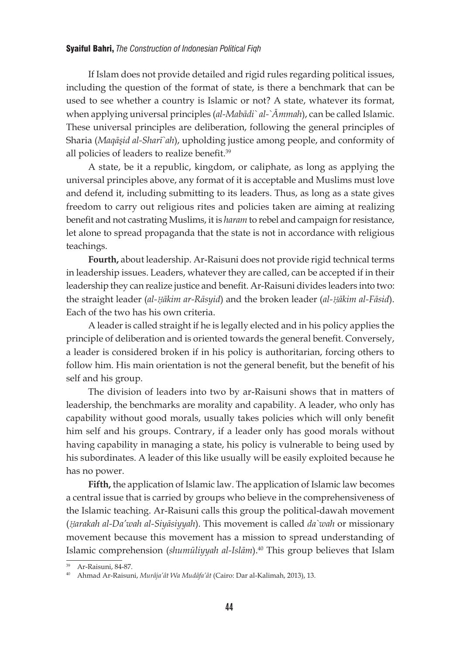If Islam does not provide detailed and rigid rules regarding political issues, including the question of the format of state, is there a benchmark that can be used to see whether a country is Islamic or not? A state, whatever its format, when applying universal principles (*al-Mabādi` al-`Āmmah*), can be called Islamic. These universal principles are deliberation, following the general principles of Sharia (*Maqāşid al-Sharī`ah*), upholding justice among people, and conformity of all policies of leaders to realize benefit.<sup>39</sup>

A state, be it a republic, kingdom, or caliphate, as long as applying the universal principles above, any format of it is acceptable and Muslims must love and defend it, including submitting to its leaders. Thus, as long as a state gives freedom to carry out religious rites and policies taken are aiming at realizing benefit and not castrating Muslims, it is *haram* to rebel and campaign for resistance, let alone to spread propaganda that the state is not in accordance with religious teachings.

**Fourth,** about leadership. Ar-Raisuni does not provide rigid technical terms in leadership issues. Leaders, whatever they are called, can be accepted if in their leadership they can realize justice and benefit. Ar-Raisuni divides leaders into two: the straight leader (*al-Ḥākim ar-Rāsyid*) and the broken leader (*al-Ḥākim al-Fāsid*). Each of the two has his own criteria.

A leader is called straight if he is legally elected and in his policy applies the principle of deliberation and is oriented towards the general benefit. Conversely, a leader is considered broken if in his policy is authoritarian, forcing others to follow him. His main orientation is not the general benefit, but the benefit of his self and his group.

The division of leaders into two by ar-Raisuni shows that in matters of leadership, the benchmarks are morality and capability. A leader, who only has capability without good morals, usually takes policies which will only benefit him self and his groups. Contrary, if a leader only has good morals without having capability in managing a state, his policy is vulnerable to being used by his subordinates. A leader of this like usually will be easily exploited because he has no power.

**Fifth,** the application of Islamic law. The application of Islamic law becomes a central issue that is carried by groups who believe in the comprehensiveness of the Islamic teaching. Ar-Raisuni calls this group the political-dawah movement (*Ḥarakah al-Da'wah al-Siyāsiyyah*). This movement is called *da`wah* or missionary movement because this movement has a mission to spread understanding of Islamic comprehension (*shumūliyyah al-Islām*).40 This group believes that Islam

<sup>39</sup> Ar-Raisuni, 84-87.

<sup>40</sup> Ahmad Ar-Raisuni, *Murâja'ât Wa Mudâfa'ât* (Cairo: Dar al-Kalimah, 2013), 13.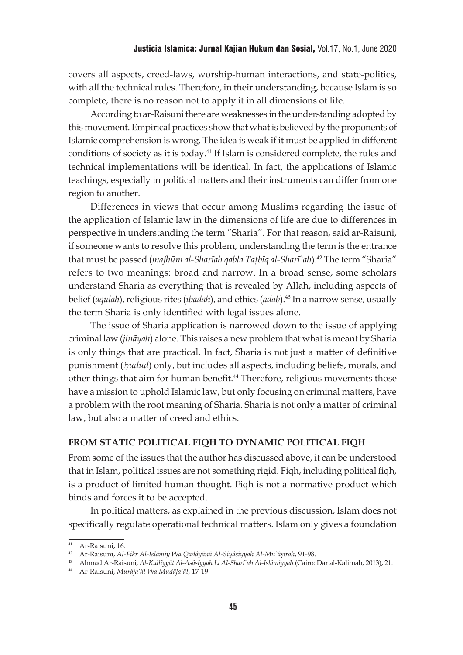covers all aspects, creed-laws, worship-human interactions, and state-politics, with all the technical rules. Therefore, in their understanding, because Islam is so complete, there is no reason not to apply it in all dimensions of life.

According to ar-Raisuni there are weaknesses in the understanding adopted by this movement. Empirical practices show that what is believed by the proponents of Islamic comprehension is wrong. The idea is weak if it must be applied in different conditions of society as it is today.41 If Islam is considered complete, the rules and technical implementations will be identical. In fact, the applications of Islamic teachings, especially in political matters and their instruments can differ from one region to another.

Differences in views that occur among Muslims regarding the issue of the application of Islamic law in the dimensions of life are due to differences in perspective in understanding the term "Sharia". For that reason, said ar-Raisuni, if someone wants to resolve this problem, understanding the term is the entrance that must be passed (*mafhūm al-Sharīah qabla Taţbīq al-Sharī`ah*).42 The term "Sharia" refers to two meanings: broad and narrow. In a broad sense, some scholars understand Sharia as everything that is revealed by Allah, including aspects of belief (*aqīdah*), religious rites (*ibādah*), and ethics (*adab*).43 In a narrow sense, usually the term Sharia is only identified with legal issues alone.

The issue of Sharia application is narrowed down to the issue of applying criminal law (*jināyah*) alone. This raises a new problem that what is meant by Sharia is only things that are practical. In fact, Sharia is not just a matter of definitive punishment (*ḥudūd*) only, but includes all aspects, including beliefs, morals, and other things that aim for human benefit.<sup>44</sup> Therefore, religious movements those have a mission to uphold Islamic law, but only focusing on criminal matters, have a problem with the root meaning of Sharia. Sharia is not only a matter of criminal law, but also a matter of creed and ethics.

#### **FROM STATIC POLITICAL FIQH TO DYNAMIC POLITICAL FIQH**

From some of the issues that the author has discussed above, it can be understood that in Islam, political issues are not something rigid. Fiqh, including political fiqh, is a product of limited human thought. Fiqh is not a normative product which binds and forces it to be accepted.

In political matters, as explained in the previous discussion, Islam does not specifically regulate operational technical matters. Islam only gives a foundation

<sup>41</sup> Ar-Raisuni, 16.

<sup>42</sup> Ar-Raisuni, *Al-Fikr Al-Islâmiy Wa Qadâyânâ Al-Siyâsiyyah Al-Mu`â*s}*irah*, 91-98.

<sup>43</sup> Ahmad Ar-Raisuni, *Al-Kullîyyât Al-Asâsîyyah Li Al-Sharî`ah Al-Islâmiyyah* (Cairo: Dar al-Kalimah, 2013), 21.

<sup>44</sup> Ar-Raisuni, *Murâja'ât Wa Mudâfa'ât*, 17-19.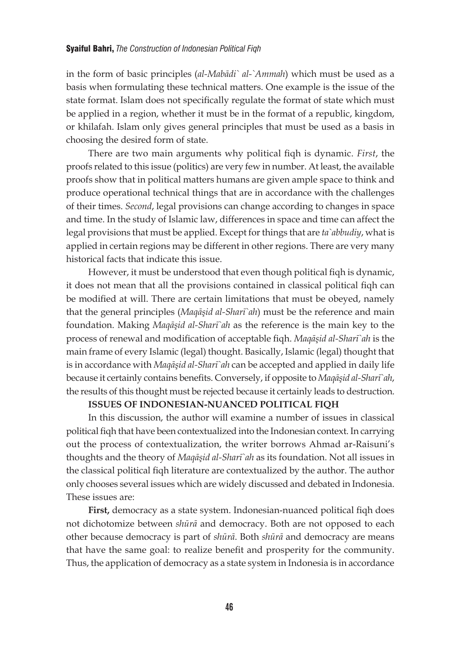in the form of basic principles (*al-Mabādi` al-`Ammah*) which must be used as a basis when formulating these technical matters. One example is the issue of the state format. Islam does not specifically regulate the format of state which must be applied in a region, whether it must be in the format of a republic, kingdom, or khilafah. Islam only gives general principles that must be used as a basis in choosing the desired form of state.

There are two main arguments why political fiqh is dynamic. *First*, the proofs related to this issue (politics) are very few in number. At least, the available proofs show that in political matters humans are given ample space to think and produce operational technical things that are in accordance with the challenges of their times. *Second*, legal provisions can change according to changes in space and time. In the study of Islamic law, differences in space and time can affect the legal provisions that must be applied. Except for things that are *ta`abbudiy*, what is applied in certain regions may be different in other regions. There are very many historical facts that indicate this issue.

However, it must be understood that even though political fiqh is dynamic, it does not mean that all the provisions contained in classical political fiqh can be modified at will. There are certain limitations that must be obeyed, namely that the general principles (*Maqāşid al-Sharī`ah*) must be the reference and main foundation. Making *Maqāşid al-Sharī`ah* as the reference is the main key to the process of renewal and modification of acceptable fiqh. *Maqāşid al-Sharī`ah* is the main frame of every Islamic (legal) thought. Basically, Islamic (legal) thought that is in accordance with *Maqāşid al-Sharī`ah* can be accepted and applied in daily life because it certainly contains benefits. Conversely, if opposite to *Maqāşid al-Sharī`ah*, the results of this thought must be rejected because it certainly leads to destruction.

# **ISSUES OF INDONESIAN-NUANCED POLITICAL FIQH**

In this discussion, the author will examine a number of issues in classical political fiqh that have been contextualized into the Indonesian context. In carrying out the process of contextualization, the writer borrows Ahmad ar-Raisuni's thoughts and the theory of *Maqāşid al-Sharī`ah* as its foundation. Not all issues in the classical political fiqh literature are contextualized by the author. The author only chooses several issues which are widely discussed and debated in Indonesia. These issues are:

**First,** democracy as a state system. Indonesian-nuanced political fiqh does not dichotomize between *shūrā* and democracy. Both are not opposed to each other because democracy is part of *shūrā*. Both *shūrā* and democracy are means that have the same goal: to realize benefit and prosperity for the community. Thus, the application of democracy as a state system in Indonesia is in accordance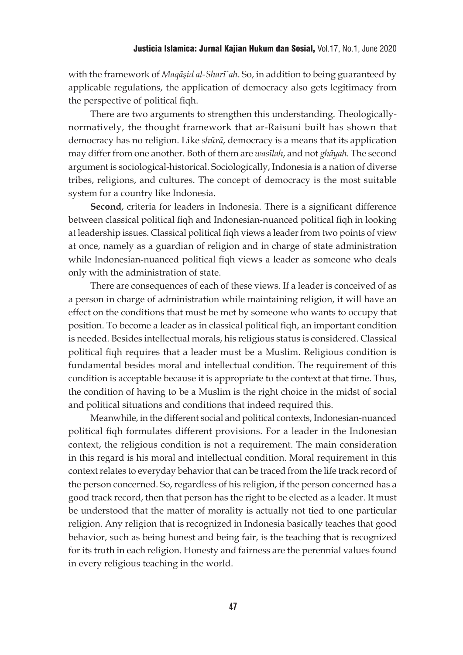with the framework of *Maqāşid al-Sharī`ah*. So, in addition to being guaranteed by applicable regulations, the application of democracy also gets legitimacy from the perspective of political fiqh.

There are two arguments to strengthen this understanding. Theologicallynormatively, the thought framework that ar-Raisuni built has shown that democracy has no religion. Like *shūrā*, democracy is a means that its application may differ from one another. Both of them are *wasīlah*, and not *ghāyah*. The second argument is sociological-historical. Sociologically, Indonesia is a nation of diverse tribes, religions, and cultures. The concept of democracy is the most suitable system for a country like Indonesia.

**Second**, criteria for leaders in Indonesia. There is a significant difference between classical political fiqh and Indonesian-nuanced political fiqh in looking at leadership issues. Classical political fiqh views a leader from two points of view at once, namely as a guardian of religion and in charge of state administration while Indonesian-nuanced political fiqh views a leader as someone who deals only with the administration of state.

There are consequences of each of these views. If a leader is conceived of as a person in charge of administration while maintaining religion, it will have an effect on the conditions that must be met by someone who wants to occupy that position. To become a leader as in classical political fiqh, an important condition is needed. Besides intellectual morals, his religious status is considered. Classical political fiqh requires that a leader must be a Muslim. Religious condition is fundamental besides moral and intellectual condition. The requirement of this condition is acceptable because it is appropriate to the context at that time. Thus, the condition of having to be a Muslim is the right choice in the midst of social and political situations and conditions that indeed required this.

Meanwhile, in the different social and political contexts, Indonesian-nuanced political fiqh formulates different provisions. For a leader in the Indonesian context, the religious condition is not a requirement. The main consideration in this regard is his moral and intellectual condition. Moral requirement in this context relates to everyday behavior that can be traced from the life track record of the person concerned. So, regardless of his religion, if the person concerned has a good track record, then that person has the right to be elected as a leader. It must be understood that the matter of morality is actually not tied to one particular religion. Any religion that is recognized in Indonesia basically teaches that good behavior, such as being honest and being fair, is the teaching that is recognized for its truth in each religion. Honesty and fairness are the perennial values found in every religious teaching in the world.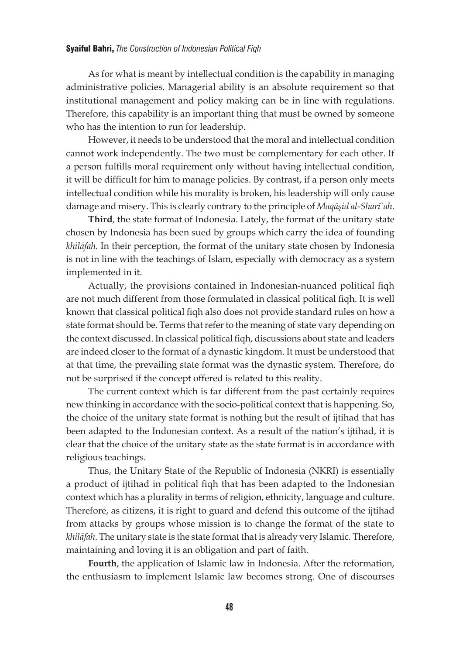As for what is meant by intellectual condition is the capability in managing administrative policies. Managerial ability is an absolute requirement so that institutional management and policy making can be in line with regulations. Therefore, this capability is an important thing that must be owned by someone who has the intention to run for leadership.

However, it needs to be understood that the moral and intellectual condition cannot work independently. The two must be complementary for each other. If a person fulfills moral requirement only without having intellectual condition, it will be difficult for him to manage policies. By contrast, if a person only meets intellectual condition while his morality is broken, his leadership will only cause damage and misery. This is clearly contrary to the principle of *Maqāşid al-Sharī`ah*.

**Third**, the state format of Indonesia. Lately, the format of the unitary state chosen by Indonesia has been sued by groups which carry the idea of founding *khilāfah*. In their perception, the format of the unitary state chosen by Indonesia is not in line with the teachings of Islam, especially with democracy as a system implemented in it.

Actually, the provisions contained in Indonesian-nuanced political fiqh are not much different from those formulated in classical political fiqh. It is well known that classical political fiqh also does not provide standard rules on how a state format should be. Terms that refer to the meaning of state vary depending on the context discussed. In classical political fiqh, discussions about state and leaders are indeed closer to the format of a dynastic kingdom. It must be understood that at that time, the prevailing state format was the dynastic system. Therefore, do not be surprised if the concept offered is related to this reality.

The current context which is far different from the past certainly requires new thinking in accordance with the socio-political context that is happening. So, the choice of the unitary state format is nothing but the result of ijtihad that has been adapted to the Indonesian context. As a result of the nation's ijtihad, it is clear that the choice of the unitary state as the state format is in accordance with religious teachings.

Thus, the Unitary State of the Republic of Indonesia (NKRI) is essentially a product of ijtihad in political fiqh that has been adapted to the Indonesian context which has a plurality in terms of religion, ethnicity, language and culture. Therefore, as citizens, it is right to guard and defend this outcome of the ijtihad from attacks by groups whose mission is to change the format of the state to *khilāfah*. The unitary state is the state format that is already very Islamic. Therefore, maintaining and loving it is an obligation and part of faith.

**Fourth**, the application of Islamic law in Indonesia. After the reformation, the enthusiasm to implement Islamic law becomes strong. One of discourses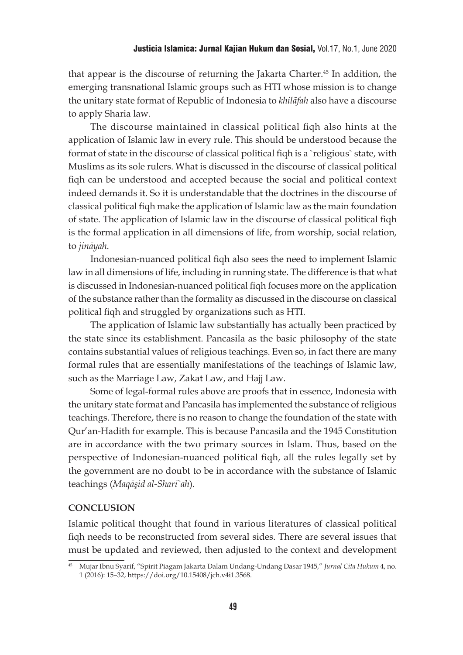that appear is the discourse of returning the Jakarta Charter.45 In addition, the emerging transnational Islamic groups such as HTI whose mission is to change the unitary state format of Republic of Indonesia to *khilāfah* also have a discourse to apply Sharia law.

The discourse maintained in classical political fiqh also hints at the application of Islamic law in every rule. This should be understood because the format of state in the discourse of classical political fiqh is a `religious` state, with Muslims as its sole rulers. What is discussed in the discourse of classical political fiqh can be understood and accepted because the social and political context indeed demands it. So it is understandable that the doctrines in the discourse of classical political fiqh make the application of Islamic law as the main foundation of state. The application of Islamic law in the discourse of classical political fiqh is the formal application in all dimensions of life, from worship, social relation, to *jināyah*.

Indonesian-nuanced political fiqh also sees the need to implement Islamic law in all dimensions of life, including in running state. The difference is that what is discussed in Indonesian-nuanced political fiqh focuses more on the application of the substance rather than the formality as discussed in the discourse on classical political fiqh and struggled by organizations such as HTI.

The application of Islamic law substantially has actually been practiced by the state since its establishment. Pancasila as the basic philosophy of the state contains substantial values of religious teachings. Even so, in fact there are many formal rules that are essentially manifestations of the teachings of Islamic law, such as the Marriage Law, Zakat Law, and Hajj Law.

Some of legal-formal rules above are proofs that in essence, Indonesia with the unitary state format and Pancasila has implemented the substance of religious teachings. Therefore, there is no reason to change the foundation of the state with Qur'an-Hadith for example. This is because Pancasila and the 1945 Constitution are in accordance with the two primary sources in Islam. Thus, based on the perspective of Indonesian-nuanced political fiqh, all the rules legally set by the government are no doubt to be in accordance with the substance of Islamic teachings (*Maqāşid al-Sharī`ah*).

# **CONCLUSION**

Islamic political thought that found in various literatures of classical political fiqh needs to be reconstructed from several sides. There are several issues that must be updated and reviewed, then adjusted to the context and development

<sup>45</sup> Mujar Ibnu Syarif, "Spirit Piagam Jakarta Dalam Undang-Undang Dasar 1945," *Jurnal Cita Hukum* 4, no. 1 (2016): 15–32, https://doi.org/10.15408/jch.v4i1.3568.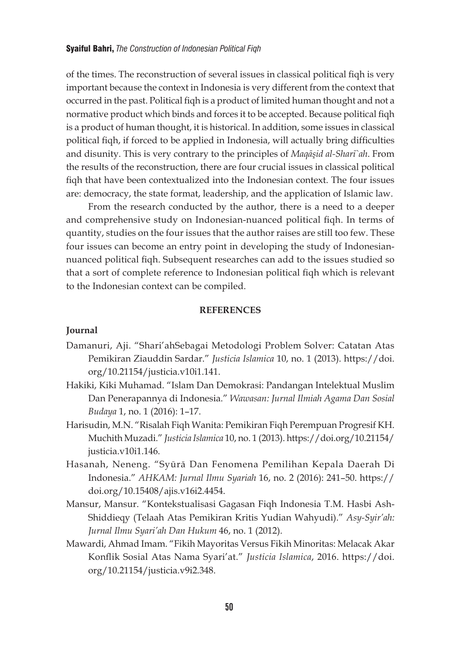of the times. The reconstruction of several issues in classical political fiqh is very important because the context in Indonesia is very different from the context that occurred in the past. Political fiqh is a product of limited human thought and not a normative product which binds and forces it to be accepted. Because political fiqh is a product of human thought, it is historical. In addition, some issues in classical political fiqh, if forced to be applied in Indonesia, will actually bring difficulties and disunity. This is very contrary to the principles of *Maqāşid al-Sharī`ah*. From the results of the reconstruction, there are four crucial issues in classical political fiqh that have been contextualized into the Indonesian context. The four issues are: democracy, the state format, leadership, and the application of Islamic law.

From the research conducted by the author, there is a need to a deeper and comprehensive study on Indonesian-nuanced political fiqh. In terms of quantity, studies on the four issues that the author raises are still too few. These four issues can become an entry point in developing the study of Indonesiannuanced political fiqh. Subsequent researches can add to the issues studied so that a sort of complete reference to Indonesian political fiqh which is relevant to the Indonesian context can be compiled.

### **REFERENCES**

### **Journal**

- Damanuri, Aji. "Shari'ahSebagai Metodologi Problem Solver: Catatan Atas Pemikiran Ziauddin Sardar." *Justicia Islamica* 10, no. 1 (2013). https://doi. org/10.21154/justicia.v10i1.141.
- Hakiki, Kiki Muhamad. "Islam Dan Demokrasi: Pandangan Intelektual Muslim Dan Penerapannya di Indonesia." *Wawasan: Jurnal Ilmiah Agama Dan Sosial Budaya* 1, no. 1 (2016): 1–17.
- Harisudin, M.N. "Risalah Fiqh Wanita: Pemikiran Fiqh Perempuan Progresif KH. Muchith Muzadi." *Justicia Islamica* 10, no. 1 (2013). https://doi.org/10.21154/ justicia.v10i1.146.
- Hasanah, Neneng. "Syūrā Dan Fenomena Pemilihan Kepala Daerah Di Indonesia." *AHKAM: Jurnal Ilmu Syariah* 16, no. 2 (2016): 241–50. https:// doi.org/10.15408/ajis.v16i2.4454.
- Mansur, Mansur. "Kontekstualisasi Gagasan Fiqh Indonesia T.M. Hasbi Ash-Shiddieqy (Telaah Atas Pemikiran Kritis Yudian Wahyudi)." *Asy-Syir'ah: Jurnal Ilmu Syari'ah Dan Hukum* 46, no. 1 (2012).
- Mawardi, Ahmad Imam. "Fikih Mayoritas Versus Fikih Minoritas: Melacak Akar Konflik Sosial Atas Nama Syari'at." *Justicia Islamica*, 2016. https://doi. org/10.21154/justicia.v9i2.348.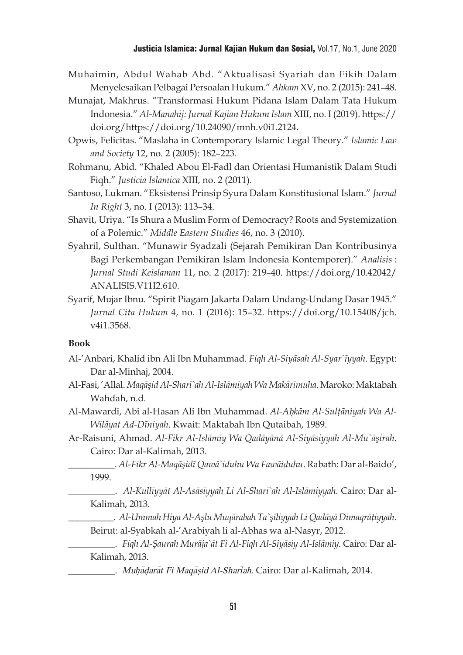### Justicia Islamica: Jurnal Kajian Hukum dan Sosial, Vol.17, No.1, June 2020

- Muhaimin, Abdul Wahab Abd. "Aktualisasi Syariah dan Fikih Dalam Menyelesaikan Pelbagai Persoalan Hukum." *Ahkam* XV, no. 2 (2015): 241–48.
- Munajat, Makhrus. "Transformasi Hukum Pidana Islam Dalam Tata Hukum Indonesia." *Al-Manahij: Jurnal Kajian Hukum Islam* XIII, no. I (2019). https:// doi.org/https://doi.org/10.24090/mnh.v0i1.2124.
- Opwis, Felicitas. "Maslaha in Contemporary Islamic Legal Theory." *Islamic Law and Society* 12, no. 2 (2005): 182–223.
- Rohmanu, Abid. "Khaled Abou El-Fadl dan Orientasi Humanistik Dalam Studi Fiqh." *Justicia Islamica* XIII, no. 2 (2011).
- Santoso, Lukman. "Eksistensi Prinsip Syura Dalam Konstitusional Islam." *Jurnal In Right* 3, no. I (2013): 113–34.
- Shavit, Uriya. "Is Shura a Muslim Form of Democracy? Roots and Systemization of a Polemic." *Middle Eastern Studies* 46, no. 3 (2010).
- Syahril, Sulthan. "Munawir Syadzali (Sejarah Pemikiran Dan Kontribusinya Bagi Perkembangan Pemikiran Islam Indonesia Kontemporer)." *Analisis : Jurnal Studi Keislaman* 11, no. 2 (2017): 219–40. https://doi.org/10.42042/ ANALISIS.V11I2.610.
- Syarif, Mujar Ibnu. "Spirit Piagam Jakarta Dalam Undang-Undang Dasar 1945." *Jurnal Cita Hukum* 4, no. 1 (2016): 15–32. https://doi.org/10.15408/jch. v4i1.3568.

#### **Book**

- Al-'Anbari, Khalid ibn Ali Ibn Muhammad. *Fiqh Al-Siyāsah Al-Syar`īyyah*. Egypt: Dar al-Minhaj, 2004.
- Al-Fasi, 'Allal. *Maqāşid Al-Sharī`ah Al-Islāmiyah Wa Makārimuha*. Maroko: Maktabah Wahdah, n.d.
- Al-Mawardi, Abi al-Hasan Ali Ibn Muhammad. *Al-A*h}*kām Al-Sulţāniyah Wa Al-Wilāyat Ad-Dīniyah*. Kwait: Maktabah Ibn Qutaibah, 1989.
- Ar-Raisuni, Ahmad. *Al-Fikr Al-Islāmiy Wa Qadāyānā Al-Siyāsiyyah Al-Mu`āşirah*. Cairo: Dar al-Kalimah, 2013.

\_\_\_\_\_\_\_\_\_\_. *Al-Fikr Al-Maqāşidī Qawā`iduhu Wa Fawāiduhu*. Rabath: Dar al-Baido', 1999.

\_\_\_\_\_\_\_\_\_\_. *Al-Kullīyyāt Al-Asāsīyyah Li Al-Sharī`ah Al-Islāmiyyah*. Cairo: Dar al-Kalimah, 2013.

- \_\_\_\_\_\_\_\_\_\_. *Al-Ummah Hiya Al-Aşlu Muqārabah Ta`şīliyyah Li Qadāyā Dimaqrāţiyyah*. Beirut: al-Syabkah al-'Arabiyah li al-Abhas wa al-Nasyr, 2012.
- \_\_\_\_\_\_\_\_\_\_. *Fiqh Al-Şaurah Murāja`āt Fi Al-Fiqh Al-Siyāsiy Al-Islāmiy*. Cairo: Dar al-Kalimah, 2013.
- $\mu$ . Muh $\bar{a}$ dar $\bar{a}t$  Fi Mag $\bar{a}s$ id Al-Shar $\bar{a}$ ah. Cairo: Dar al-Kalimah, 2014.